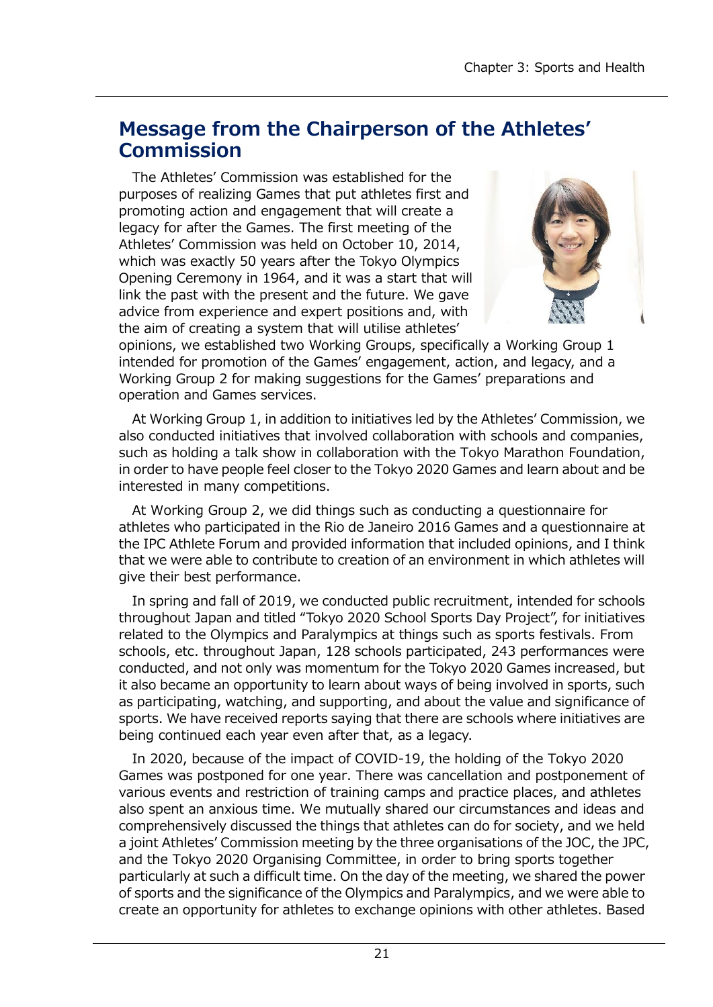# **Message from the Chairperson of the Athletes' Commission**

The Athletes' Commission was established for the purposes of realizing Games that put athletes first and promoting action and engagement that will create a legacy for after the Games. The first meeting of the Athletes' Commission was held on October 10, 2014, which was exactly 50 years after the Tokyo Olympics Opening Ceremony in 1964, and it was a start that will link the past with the present and the future. We gave advice from experience and expert positions and, with the aim of creating a system that will utilise athletes'



opinions, we established two Working Groups, specifically a Working Group 1 intended for promotion of the Games' engagement, action, and legacy, and a Working Group 2 for making suggestions for the Games' preparations and operation and Games services.

At Working Group 1, in addition to initiatives led by the Athletes' Commission, we also conducted initiatives that involved collaboration with schools and companies, such as holding a talk show in collaboration with the Tokyo Marathon Foundation, in order to have people feel closer to the Tokyo 2020 Games and learn about and be interested in many competitions.

At Working Group 2, we did things such as conducting a questionnaire for athletes who participated in the Rio de Janeiro 2016 Games and a questionnaire at the IPC Athlete Forum and provided information that included opinions, and I think that we were able to contribute to creation of an environment in which athletes will give their best performance.

In spring and fall of 2019, we conducted public recruitment, intended for schools throughout Japan and titled "Tokyo 2020 School Sports Day Project", for initiatives related to the Olympics and Paralympics at things such as sports festivals. From schools, etc. throughout Japan, 128 schools participated, 243 performances were conducted, and not only was momentum for the Tokyo 2020 Games increased, but it also became an opportunity to learn about ways of being involved in sports, such as participating, watching, and supporting, and about the value and significance of sports. We have received reports saying that there are schools where initiatives are being continued each year even after that, as a legacy.

In 2020, because of the impact of COVID-19, the holding of the Tokyo 2020 Games was postponed for one year. There was cancellation and postponement of various events and restriction of training camps and practice places, and athletes also spent an anxious time. We mutually shared our circumstances and ideas and comprehensively discussed the things that athletes can do for society, and we held a joint Athletes' Commission meeting by the three organisations of the JOC, the JPC, and the Tokyo 2020 Organising Committee, in order to bring sports together particularly at such a difficult time. On the day of the meeting, we shared the power of sports and the significance of the Olympics and Paralympics, and we were able to create an opportunity for athletes to exchange opinions with other athletes. Based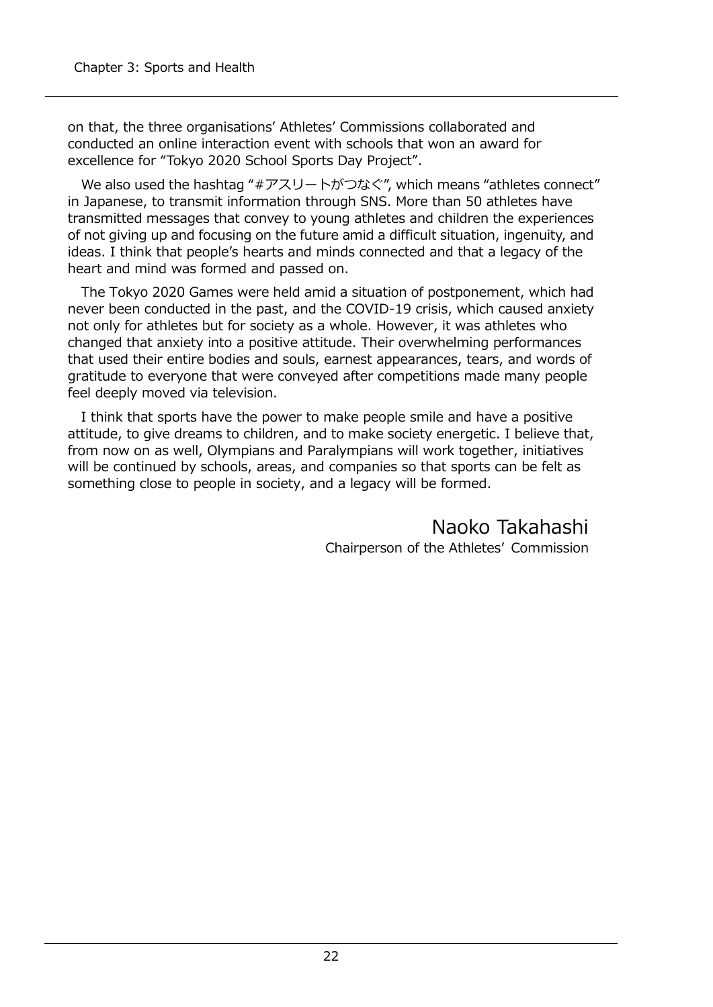on that, the three organisations' Athletes' Commissions collaborated and conducted an online interaction event with schools that won an award for excellence for "Tokyo 2020 School Sports Day Project".

We also used the hashtag "#アスリートがつなぐ", which means "athletes connect" in Japanese, to transmit information through SNS. More than 50 athletes have transmitted messages that convey to young athletes and children the experiences of not giving up and focusing on the future amid a difficult situation, ingenuity, and ideas. I think that people's hearts and minds connected and that a legacy of the heart and mind was formed and passed on.

The Tokyo 2020 Games were held amid a situation of postponement, which had never been conducted in the past, and the COVID-19 crisis, which caused anxiety not only for athletes but for society as a whole. However, it was athletes who changed that anxiety into a positive attitude. Their overwhelming performances that used their entire bodies and souls, earnest appearances, tears, and words of gratitude to everyone that were conveyed after competitions made many people feel deeply moved via television.

I think that sports have the power to make people smile and have a positive attitude, to give dreams to children, and to make society energetic. I believe that, from now on as well, Olympians and Paralympians will work together, initiatives will be continued by schools, areas, and companies so that sports can be felt as something close to people in society, and a legacy will be formed.

> Naoko Takahashi Chairperson of the Athletes' Commission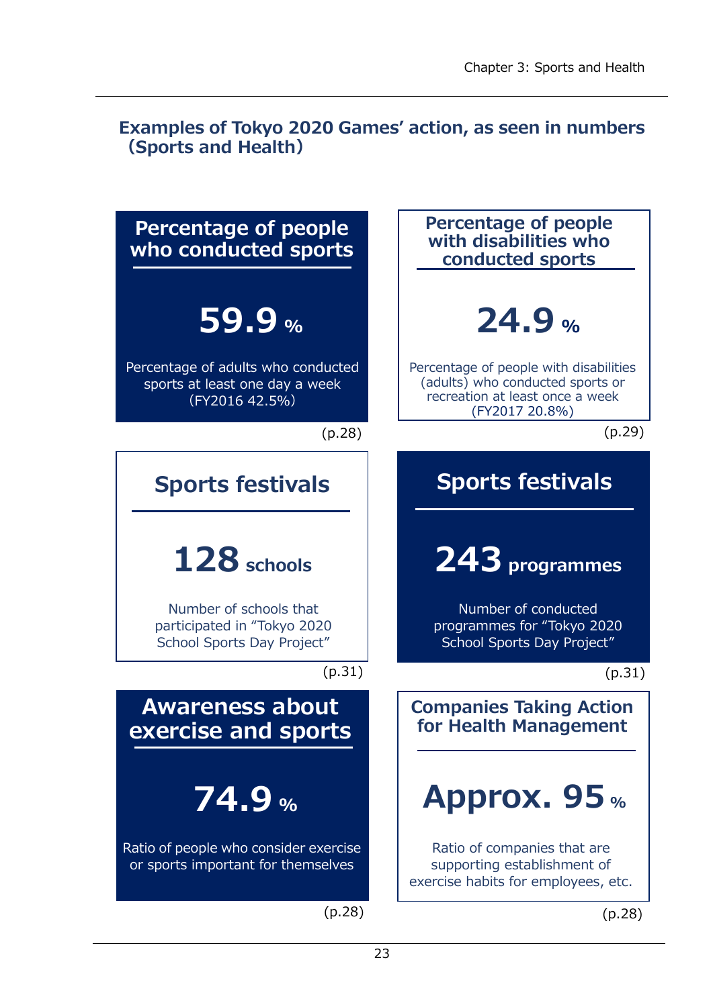# **Examples of Tokyo 2020 Games' action, as seen in numbers (Sports and Health)**

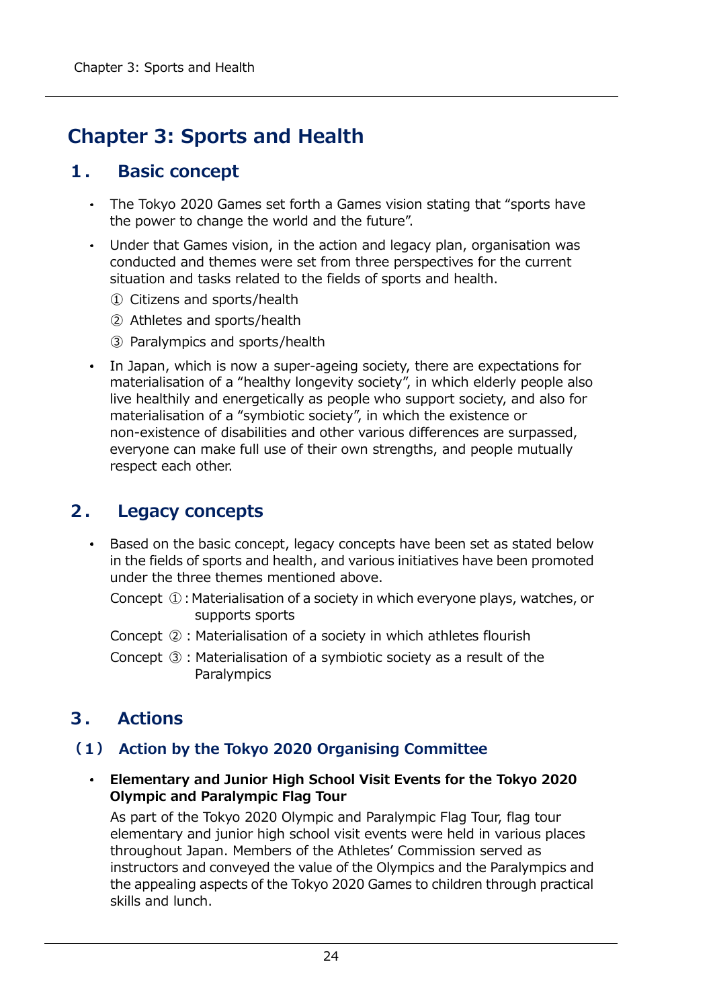# **Chapter 3: Sports and Health**

# **1. Basic concept**

- The Tokyo 2020 Games set forth a Games vision stating that "sports have the power to change the world and the future".
- Under that Games vision, in the action and legacy plan, organisation was conducted and themes were set from three perspectives for the current situation and tasks related to the fields of sports and health.
	- ① Citizens and sports/health
	- ② Athletes and sports/health
	- ③ Paralympics and sports/health
- In Japan, which is now a super-ageing society, there are expectations for materialisation of a "healthy longevity society", in which elderly people also live healthily and energetically as people who support society, and also for materialisation of a "symbiotic society", in which the existence or non-existence of disabilities and other various differences are surpassed, everyone can make full use of their own strengths, and people mutually respect each other.

# **2. Legacy concepts**

- Based on the basic concept, legacy concepts have been set as stated below  $\bullet$  . in the fields of sports and health, and various initiatives have been promoted under the three themes mentioned above.
	- Concept ①: Materialisation of a society in which everyone plays, watches, or supports sports
	- Concept  $(2)$ : Materialisation of a society in which athletes flourish
	- Concept ③:Materialisation of a symbiotic society as a result of the **Paralympics**

# **3. Actions**

# **(1) Action by the Tokyo 2020 Organising Committee**

**Elementary and Junior High School Visit Events for the Tokyo 2020 Olympic and Paralympic Flag Tour**

As part of the Tokyo 2020 Olympic and Paralympic Flag Tour, flag tour elementary and junior high school visit events were held in various places throughout Japan. Members of the Athletes' Commission served as instructors and conveyed the value of the Olympics and the Paralympics and the appealing aspects of the Tokyo 2020 Games to children through practical skills and lunch.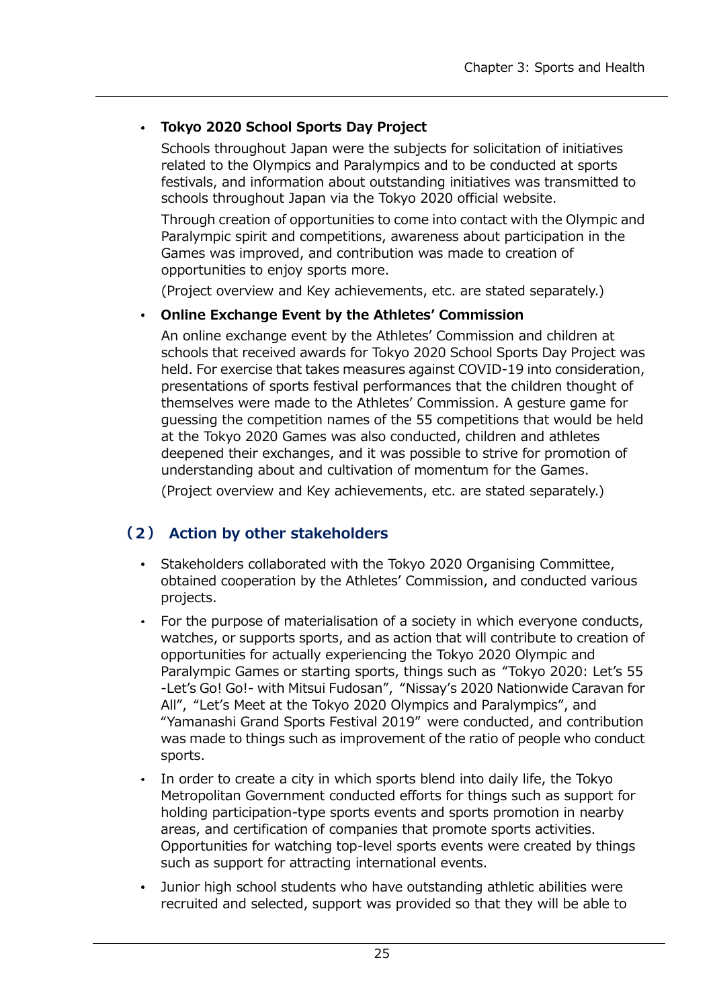#### **Tokyo 2020 School Sports Day Project**  $\bullet$  .

Schools throughout Japan were the subjects for solicitation of initiatives related to the Olympics and Paralympics and to be conducted at sports festivals, and information about outstanding initiatives was transmitted to schools throughout Japan via the Tokyo 2020 official website.

Through creation of opportunities to come into contact with the Olympic and Paralympic spirit and competitions, awareness about participation in the Games was improved, and contribution was made to creation of opportunities to enjoy sports more.

(Project overview and Key achievements, etc. are stated separately.)

### **Online Exchange Event by the Athletes' Commission**

An online exchange event by the Athletes' Commission and children at schools that received awards for Tokyo 2020 School Sports Day Project was held. For exercise that takes measures against COVID-19 into consideration, presentations of sports festival performances that the children thought of themselves were made to the Athletes' Commission. A gesture game for guessing the competition names of the 55 competitions that would be held at the Tokyo 2020 Games was also conducted, children and athletes deepened their exchanges, and it was possible to strive for promotion of understanding about and cultivation of momentum for the Games.

(Project overview and Key achievements, etc. are stated separately.)

# **(2) Action by other stakeholders**

- Stakeholders collaborated with the Tokyo 2020 Organising Committee, obtained cooperation by the Athletes' Commission, and conducted various projects.
- For the purpose of materialisation of a society in which everyone conducts, watches, or supports sports, and as action that will contribute to creation of opportunities for actually experiencing the Tokyo 2020 Olympic and Paralympic Games or starting sports, things such as "Tokyo 2020: Let's 55 -Let's Go! Go!- with Mitsui Fudosan", "Nissay's 2020 Nationwide Caravan for All", "Let's Meet at the Tokyo 2020 Olympics and Paralympics", and "Yamanashi Grand Sports Festival 2019" were conducted, and contribution was made to things such as improvement of the ratio of people who conduct sports.
- In order to create a city in which sports blend into daily life, the Tokyo Metropolitan Government conducted efforts for things such as support for holding participation-type sports events and sports promotion in nearby areas, and certification of companies that promote sports activities. Opportunities for watching top-level sports events were created by things such as support for attracting international events.
- Junior high school students who have outstanding athletic abilities were recruited and selected, support was provided so that they will be able to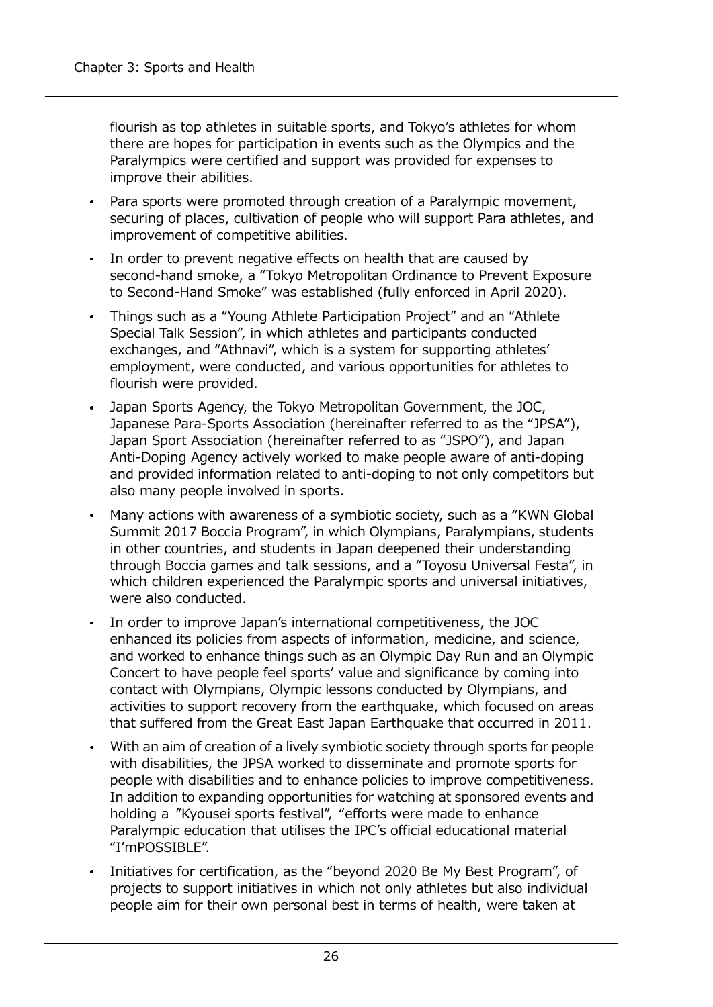flourish as top athletes in suitable sports, and Tokyo's athletes for whom there are hopes for participation in events such as the Olympics and the Paralympics were certified and support was provided for expenses to improve their abilities.

- Para sports were promoted through creation of a Paralympic movement, securing of places, cultivation of people who will support Para athletes, and improvement of competitive abilities.
- In order to prevent negative effects on health that are caused by second-hand smoke, a "Tokyo Metropolitan Ordinance to Prevent Exposure to Second-Hand Smoke" was established (fully enforced in April 2020).
- Things such as a "Young Athlete Participation Project" and an "Athlete  $\bullet$  . Special Talk Session", in which athletes and participants conducted exchanges, and "Athnavi", which is a system for supporting athletes' employment, were conducted, and various opportunities for athletes to flourish were provided.
- Japan Sports Agency, the Tokyo Metropolitan Government, the JOC, Japanese Para-Sports Association (hereinafter referred to as the "JPSA"), Japan Sport Association (hereinafter referred to as "JSPO"), and Japan Anti-Doping Agency actively worked to make people aware of anti-doping and provided information related to anti-doping to not only competitors but also many people involved in sports.
- Many actions with awareness of a symbiotic society, such as a "KWN Global Summit 2017 Boccia Program", in which Olympians, Paralympians, students in other countries, and students in Japan deepened their understanding through Boccia games and talk sessions, and a "Toyosu Universal Festa", in which children experienced the Paralympic sports and universal initiatives, were also conducted.
- In order to improve Japan's international competitiveness, the JOC  $\bullet$  . enhanced its policies from aspects of information, medicine, and science, and worked to enhance things such as an Olympic Day Run and an Olympic Concert to have people feel sports' value and significance by coming into contact with Olympians, Olympic lessons conducted by Olympians, and activities to support recovery from the earthquake, which focused on areas that suffered from the Great East Japan Earthquake that occurred in 2011.
- With an aim of creation of a lively symbiotic society through sports for people  $\bullet$ with disabilities, the JPSA worked to disseminate and promote sports for people with disabilities and to enhance policies to improve competitiveness. In addition to expanding opportunities for watching at sponsored events and holding a "Kyousei sports festival", "efforts were made to enhance Paralympic education that utilises the IPC's official educational material "I'mPOSSIBLE".
- Initiatives for certification, as the "beyond 2020 Be My Best Program", of projects to support initiatives in which not only athletes but also individual people aim for their own personal best in terms of health, were taken at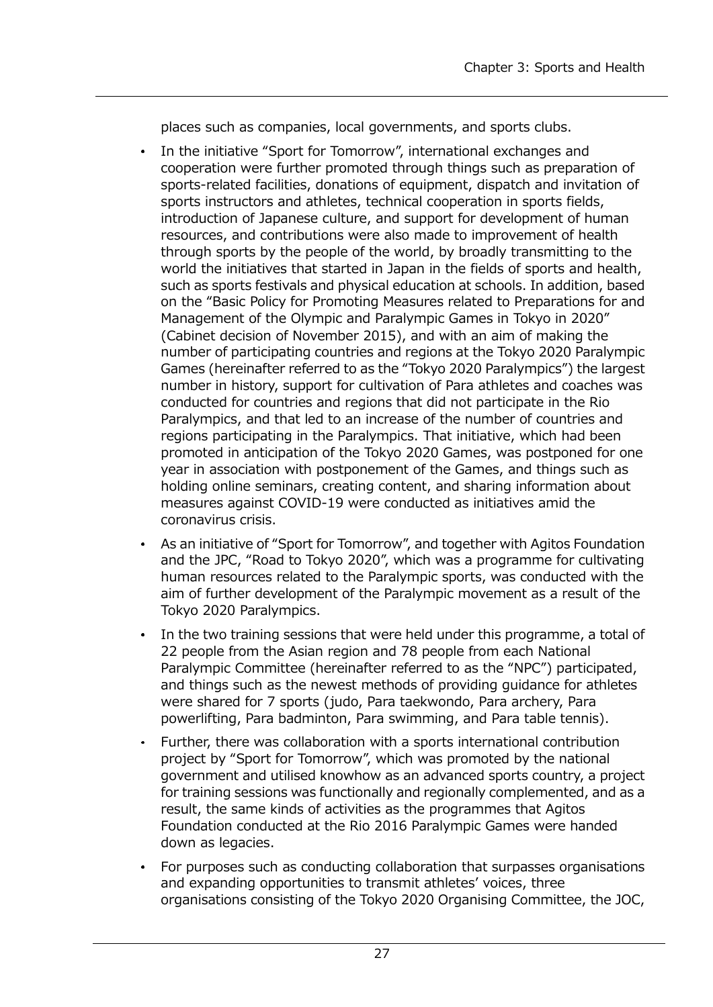places such as companies, local governments, and sports clubs.

- In the initiative "Sport for Tomorrow", international exchanges and cooperation were further promoted through things such as preparation of sports-related facilities, donations of equipment, dispatch and invitation of sports instructors and athletes, technical cooperation in sports fields, introduction of Japanese culture, and support for development of human resources, and contributions were also made to improvement of health through sports by the people of the world, by broadly transmitting to the world the initiatives that started in Japan in the fields of sports and health, such as sports festivals and physical education at schools. In addition, based on the "Basic Policy for Promoting Measures related to Preparations for and Management of the Olympic and Paralympic Games in Tokyo in 2020" (Cabinet decision of November 2015), and with an aim of making the number of participating countries and regions at the Tokyo 2020 Paralympic Games (hereinafter referred to as the "Tokyo 2020 Paralympics") the largest number in history, support for cultivation of Para athletes and coaches was conducted for countries and regions that did not participate in the Rio Paralympics, and that led to an increase of the number of countries and regions participating in the Paralympics. That initiative, which had been promoted in anticipation of the Tokyo 2020 Games, was postponed for one year in association with postponement of the Games, and things such as holding online seminars, creating content, and sharing information about measures against COVID-19 were conducted as initiatives amid the coronavirus crisis.
- As an initiative of "Sport for Tomorrow", and together with Agitos Foundation and the JPC, "Road to Tokyo 2020", which was a programme for cultivating human resources related to the Paralympic sports, was conducted with the aim of further development of the Paralympic movement as a result of the Tokyo 2020 Paralympics.
- In the two training sessions that were held under this programme, a total of 22 people from the Asian region and 78 people from each National Paralympic Committee (hereinafter referred to as the "NPC") participated, and things such as the newest methods of providing guidance for athletes were shared for 7 sports (judo, Para taekwondo, Para archery, Para powerlifting, Para badminton, Para swimming, and Para table tennis).
- Further, there was collaboration with a sports international contribution project by "Sport for Tomorrow", which was promoted by the national government and utilised knowhow as an advanced sports country, a project for training sessions was functionally and regionally complemented, and as a result, the same kinds of activities as the programmes that Agitos Foundation conducted at the Rio 2016 Paralympic Games were handed down as legacies.
- For purposes such as conducting collaboration that surpasses organisations and expanding opportunities to transmit athletes' voices, three organisations consisting of the Tokyo 2020 Organising Committee, the JOC,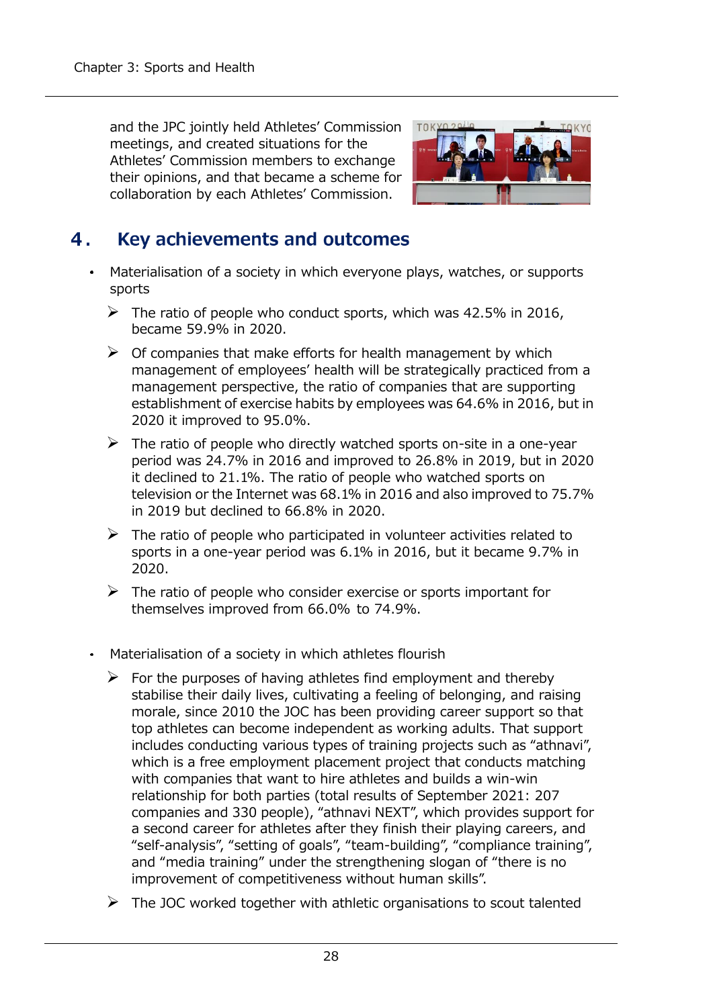and the JPC jointly held Athletes' Commission meetings, and created situations for the Athletes' Commission members to exchange their opinions, and that became a scheme for collaboration by each Athletes' Commission.



#### 4. Key achievements and outcomes

- $\bullet$  . Materialisation of a society in which everyone plays, watches, or supports sports
	- $\triangleright$  The ratio of people who conduct sports, which was 42.5% in 2016, became 59.9% in 2020.
	- $\triangleright$  Of companies that make efforts for health management by which management of employees' health will be strategically practiced from a management perspective, the ratio of companies that are supporting establishment of exercise habits by employees was 64.6% in 2016, but in 2020 it improved to 95.0%.
	- $\triangleright$  The ratio of people who directly watched sports on-site in a one-year period was 24.7% in 2016 and improved to 26.8% in 2019, but in 2020 it declined to 21.1%. The ratio of people who watched sports on television or the Internet was 68.1% in 2016 and also improved to 75.7% in 2019 but declined to 66.8% in 2020.
	- $\triangleright$  The ratio of people who participated in volunteer activities related to sports in a one-year period was 6.1% in 2016, but it became 9.7% in 2020.
	- $\triangleright$  The ratio of people who consider exercise or sports important for themselves improved from 66.0% to 74.9%.
- Materialisation of a society in which athletes flourish
	- $\triangleright$  For the purposes of having athletes find employment and thereby stabilise their daily lives, cultivating a feeling of belonging, and raising morale, since 2010 the JOC has been providing career support so that top athletes can become independent as working adults. That support includes conducting various types of training projects such as "athnavi", which is a free employment placement project that conducts matching with companies that want to hire athletes and builds a win-win relationship for both parties (total results of September 2021: 207 companies and 330 people), "athnavi NEXT", which provides support for a second career for athletes after they finish their playing careers, and "self-analysis", "setting of goals", "team-building", "compliance training", and "media training" under the strengthening slogan of "there is no improvement of competitiveness without human skills".
	- $\triangleright$  The JOC worked together with athletic organisations to scout talented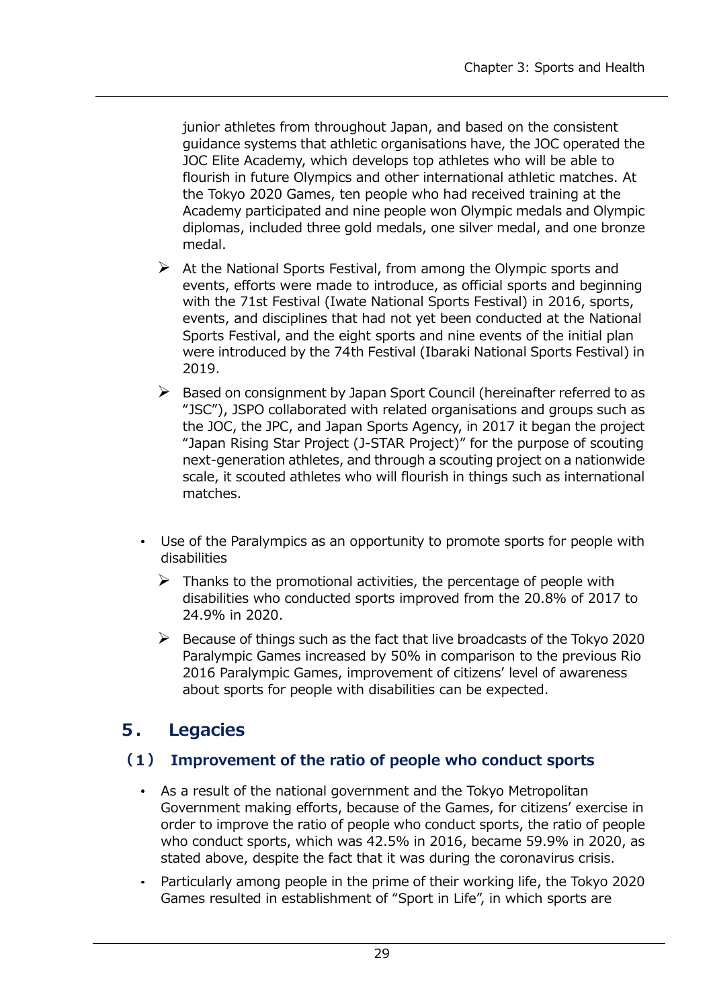junior athletes from throughout Japan, and based on the consistent guidance systems that athletic organisations have, the JOC operated the JOC Elite Academy, which develops top athletes who will be able to flourish in future Olympics and other international athletic matches. At the Tokyo 2020 Games, ten people who had received training at the Academy participated and nine people won Olympic medals and Olympic diplomas, included three gold medals, one silver medal, and one bronze medal.

- $\triangleright$  At the National Sports Festival, from among the Olympic sports and events, efforts were made to introduce, as official sports and beginning with the 71st Festival (Iwate National Sports Festival) in 2016, sports, events, and disciplines that had not yet been conducted at the National Sports Festival, and the eight sports and nine events of the initial plan were introduced by the 74th Festival (Ibaraki National Sports Festival) in 2019.
- $\triangleright$  Based on consignment by Japan Sport Council (hereinafter referred to as "JSC"), JSPO collaborated with related organisations and groups such as the JOC, the JPC, and Japan Sports Agency, in 2017 it began the project "Japan Rising Star Project (J-STAR Project)" for the purpose of scouting next-generation athletes, and through a scouting project on a nationwide scale, it scouted athletes who will flourish in things such as international matches.
- Use of the Paralympics as an opportunity to promote sports for people with disabilities
	- $\triangleright$  Thanks to the promotional activities, the percentage of people with disabilities who conducted sports improved from the 20.8% of 2017 to 24.9% in 2020.
	- $\triangleright$  Because of things such as the fact that live broadcasts of the Tokyo 2020 Paralympic Games increased by 50% in comparison to the previous Rio 2016 Paralympic Games, improvement of citizens' level of awareness about sports for people with disabilities can be expected.

# **5. Legacies**

## **(1) Improvement of the ratio of people who conduct sports**

- As a result of the national government and the Tokyo Metropolitan Government making efforts, because of the Games, for citizens' exercise in order to improve the ratio of people who conduct sports, the ratio of people who conduct sports, which was 42.5% in 2016, became 59.9% in 2020, as stated above, despite the fact that it was during the coronavirus crisis.
- Particularly among people in the prime of their working life, the Tokyo 2020  $\bullet$ Games resulted in establishment of "Sport in Life", in which sports are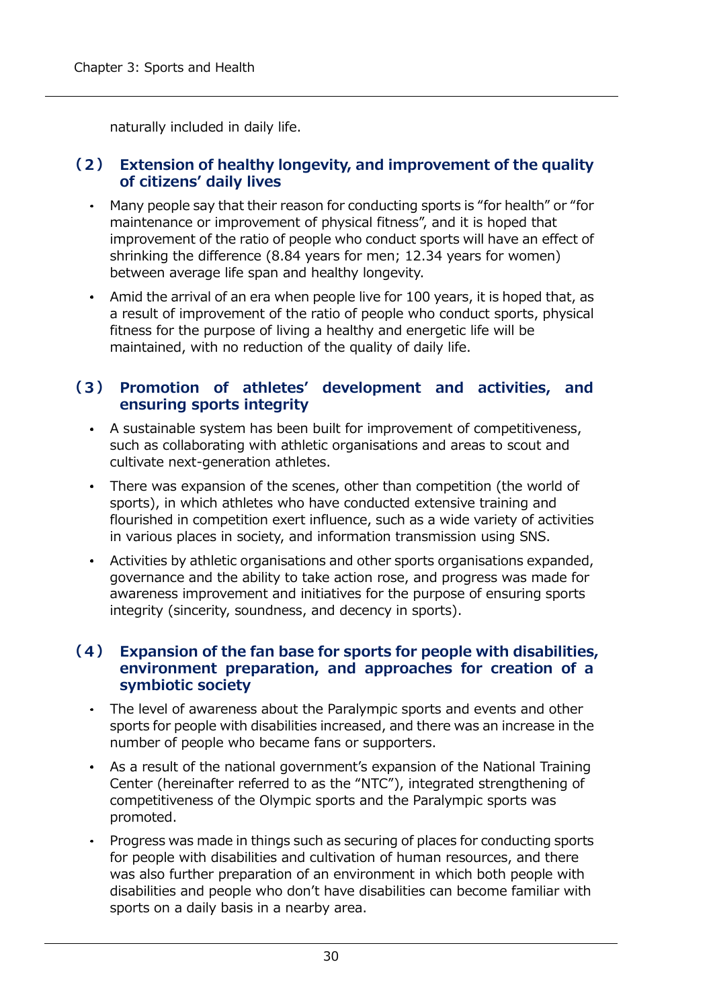naturally included in daily life.

#### **(2) Extension of healthy longevity, and improvement of the quality of citizens' daily lives**

- $\bullet$ Many people say that their reason for conducting sports is "for health" or "for maintenance or improvement of physical fitness", and it is hoped that improvement of the ratio of people who conduct sports will have an effect of shrinking the difference (8.84 years for men; 12.34 years for women) between average life span and healthy longevity.
- Amid the arrival of an era when people live for 100 years, it is hoped that, as a result of improvement of the ratio of people who conduct sports, physical fitness for the purpose of living a healthy and energetic life will be maintained, with no reduction of the quality of daily life.

## **(3) Promotion of athletes' development and activities, and ensuring sports integrity**

- A sustainable system has been built for improvement of competitiveness, such as collaborating with athletic organisations and areas to scout and cultivate next-generation athletes.
- There was expansion of the scenes, other than competition (the world of sports), in which athletes who have conducted extensive training and flourished in competition exert influence, such as a wide variety of activities in various places in society, and information transmission using SNS.
- Activities by athletic organisations and other sports organisations expanded, governance and the ability to take action rose, and progress was made for awareness improvement and initiatives for the purpose of ensuring sports integrity (sincerity, soundness, and decency in sports).

#### **(4) Expansion of the fan base for sports for people with disabilities, environment preparation, and approaches for creation of a symbiotic society**

- The level of awareness about the Paralympic sports and events and other sports for people with disabilities increased, and there was an increase in the number of people who became fans or supporters.
- As a result of the national government's expansion of the National Training Center (hereinafter referred to as the "NTC"), integrated strengthening of competitiveness of the Olympic sports and the Paralympic sports was promoted.
- Progress was made in things such as securing of places for conducting sports for people with disabilities and cultivation of human resources, and there was also further preparation of an environment in which both people with disabilities and people who don't have disabilities can become familiar with sports on a daily basis in a nearby area.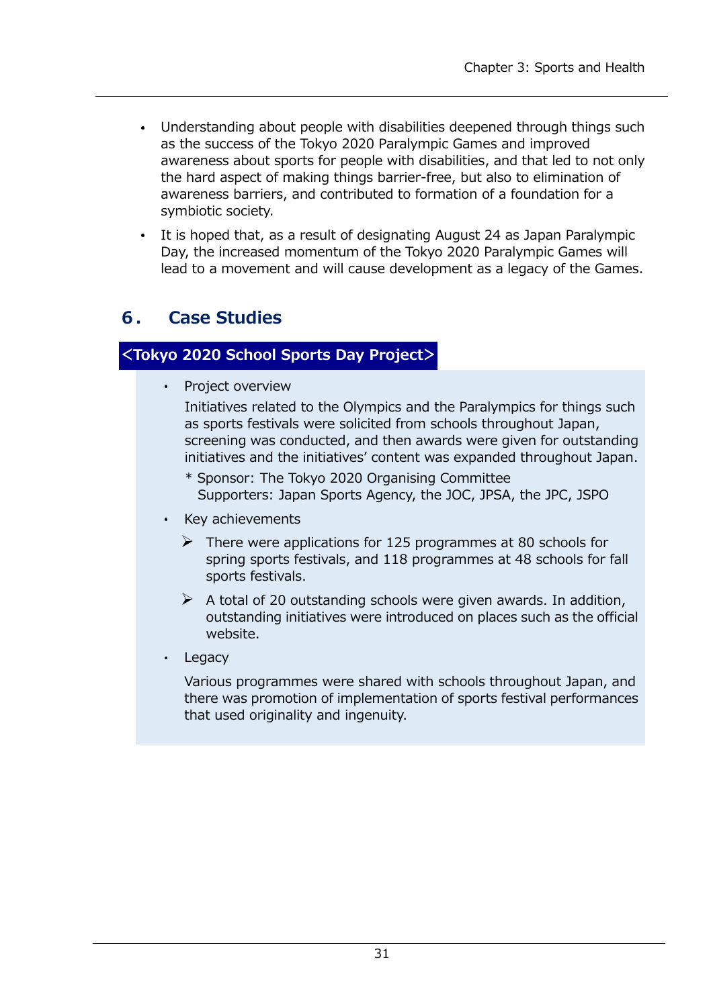- Understanding about people with disabilities deepened through things such  $\bullet$  . as the success of the Tokyo 2020 Paralympic Games and improved awareness about sports for people with disabilities, and that led to not only the hard aspect of making things barrier-free, but also to elimination of awareness barriers, and contributed to formation of a foundation for a symbiotic society.
- It is hoped that, as a result of designating August 24 as Japan Paralympic Day, the increased momentum of the Tokyo 2020 Paralympic Games will lead to a movement and will cause development as a legacy of the Games.

# **6. Case Studies**

## **<Tokyo 2020 School Sports Day Project>**

 $\bullet$  . Project overview

> Initiatives related to the Olympics and the Paralympics for things such as sports festivals were solicited from schools throughout Japan, screening was conducted, and then awards were given for outstanding initiatives and the initiatives' content was expanded throughout Japan.

- \* Sponsor: The Tokyo 2020 Organising Committee Supporters: Japan Sports Agency, the JOC, JPSA, the JPC, JSPO
- Key achievements
	- $\triangleright$  There were applications for 125 programmes at 80 schools for spring sports festivals, and 118 programmes at 48 schools for fall sports festivals.
	- $\triangleright$  A total of 20 outstanding schools were given awards. In addition, outstanding initiatives were introduced on places such as the official website.
- Legacy

Various programmes were shared with schools throughout Japan, and there was promotion of implementation of sports festival performances that used originality and ingenuity.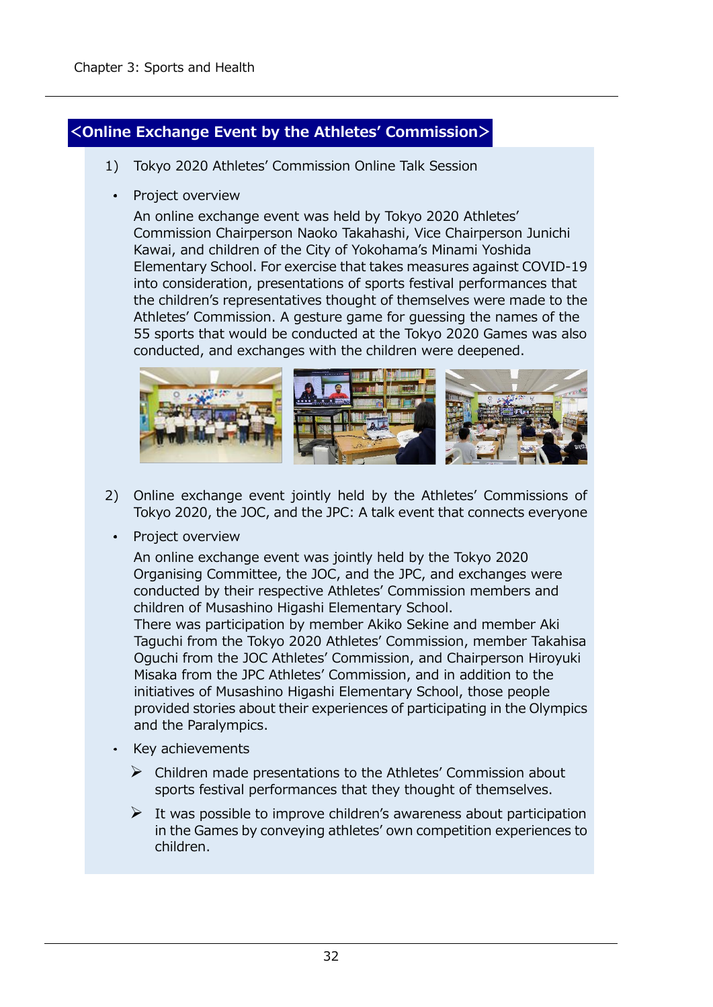## **<Online Exchange Event by the Athletes' Commission>**

- 1) Tokyo 2020 Athletes' Commission Online Talk Session
- Project overview

An online exchange event was held by Tokyo 2020 Athletes' Commission Chairperson Naoko Takahashi, Vice Chairperson Junichi Kawai, and children of the City of Yokohama's Minami Yoshida Elementary School. For exercise that takes measures against COVID-19 into consideration, presentations of sports festival performances that the children's representatives thought of themselves were made to the Athletes' Commission. A gesture game for guessing the names of the 55 sports that would be conducted at the Tokyo 2020 Games was also conducted, and exchanges with the children were deepened.



- 2) Online exchange event jointly held by the Athletes' Commissions of Tokyo 2020, the JOC, and the JPC: A talk event that connects everyone
	- Project overview

An online exchange event was jointly held by the Tokyo 2020 Organising Committee, the JOC, and the JPC, and exchanges were conducted by their respective Athletes' Commission members and children of Musashino Higashi Elementary School.

There was participation by member Akiko Sekine and member Aki Taguchi from the Tokyo 2020 Athletes' Commission, member Takahisa Oguchi from the JOC Athletes' Commission, and Chairperson Hiroyuki Misaka from the JPC Athletes' Commission, and in addition to the initiatives of Musashino Higashi Elementary School, those people provided stories about their experiences of participating in the Olympics and the Paralympics.

- Key achievements
	- $\triangleright$  Children made presentations to the Athletes' Commission about sports festival performances that they thought of themselves.
	- $\triangleright$  It was possible to improve children's awareness about participation in the Games by conveying athletes' own competition experiences to children.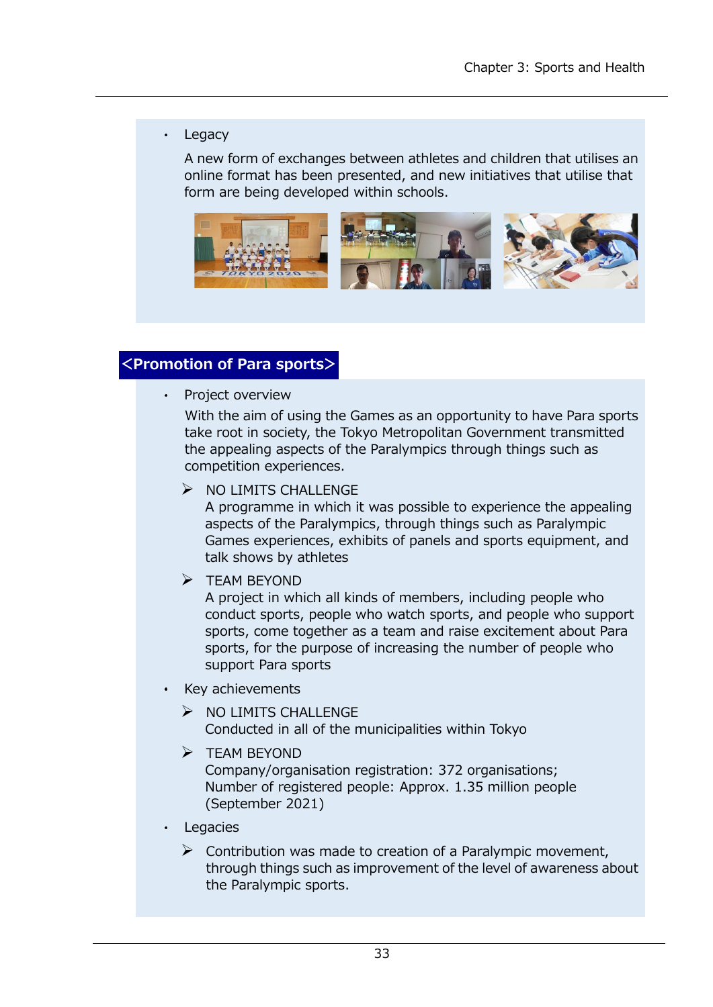#### • Legacy

A new form of exchanges between athletes and children that utilises an online format has been presented, and new initiatives that utilise that form are being developed within schools.



### **<Promotion of Para sports>**

• Project overview

With the aim of using the Games as an opportunity to have Para sports take root in society, the Tokyo Metropolitan Government transmitted the appealing aspects of the Paralympics through things such as competition experiences.

 $\triangleright$  NO LIMITS CHALLENGE

A programme in which it was possible to experience the appealing aspects of the Paralympics, through things such as Paralympic Games experiences, exhibits of panels and sports equipment, and talk shows by athletes

➢ TEAM BEYOND

A project in which all kinds of members, including people who conduct sports, people who watch sports, and people who support sports, come together as a team and raise excitement about Para sports, for the purpose of increasing the number of people who support Para sports

- Key achievements
	- ➢ NO LIMITS CHALLENGE Conducted in all of the municipalities within Tokyo
	- ➢ TEAM BEYOND

Company/organisation registration: 372 organisations; Number of registered people: Approx. 1.35 million people (September 2021)

Legacies

 $\triangleright$  Contribution was made to creation of a Paralympic movement, through things such as improvement of the level of awareness about the Paralympic sports.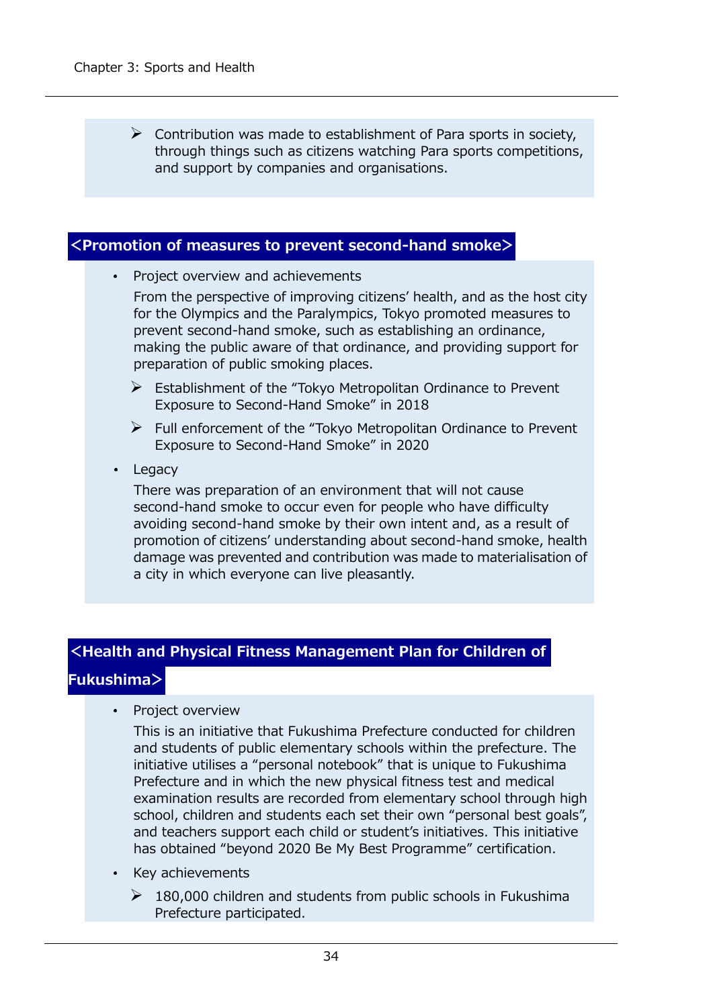$\triangleright$  Contribution was made to establishment of Para sports in society, through things such as citizens watching Para sports competitions, and support by companies and organisations.

#### **<Promotion of measures to prevent second-hand smoke>**

Project overview and achievements

From the perspective of improving citizens' health, and as the host city for the Olympics and the Paralympics, Tokyo promoted measures to prevent second-hand smoke, such as establishing an ordinance, making the public aware of that ordinance, and providing support for preparation of public smoking places.

- ➢ Establishment of the "Tokyo Metropolitan Ordinance to Prevent Exposure to Second-Hand Smoke" in 2018
- $\triangleright$  Full enforcement of the "Tokyo Metropolitan Ordinance to Prevent Exposure to Second-Hand Smoke" in 2020
- Legacy

There was preparation of an environment that will not cause second-hand smoke to occur even for people who have difficulty avoiding second-hand smoke by their own intent and, as a result of promotion of citizens' understanding about second-hand smoke, health damage was prevented and contribution was made to materialisation of a city in which everyone can live pleasantly.

#### **<Health and Physical Fitness Management Plan for Children of**

#### **Fukushima>**

Project overview

This is an initiative that Fukushima Prefecture conducted for children and students of public elementary schools within the prefecture. The initiative utilises a "personal notebook" that is unique to Fukushima Prefecture and in which the new physical fitness test and medical examination results are recorded from elementary school through high school, children and students each set their own "personal best goals", and teachers support each child or student's initiatives. This initiative has obtained "beyond 2020 Be My Best Programme" certification.

- Key achievements
	- $\geq 180,000$  children and students from public schools in Fukushima Prefecture participated.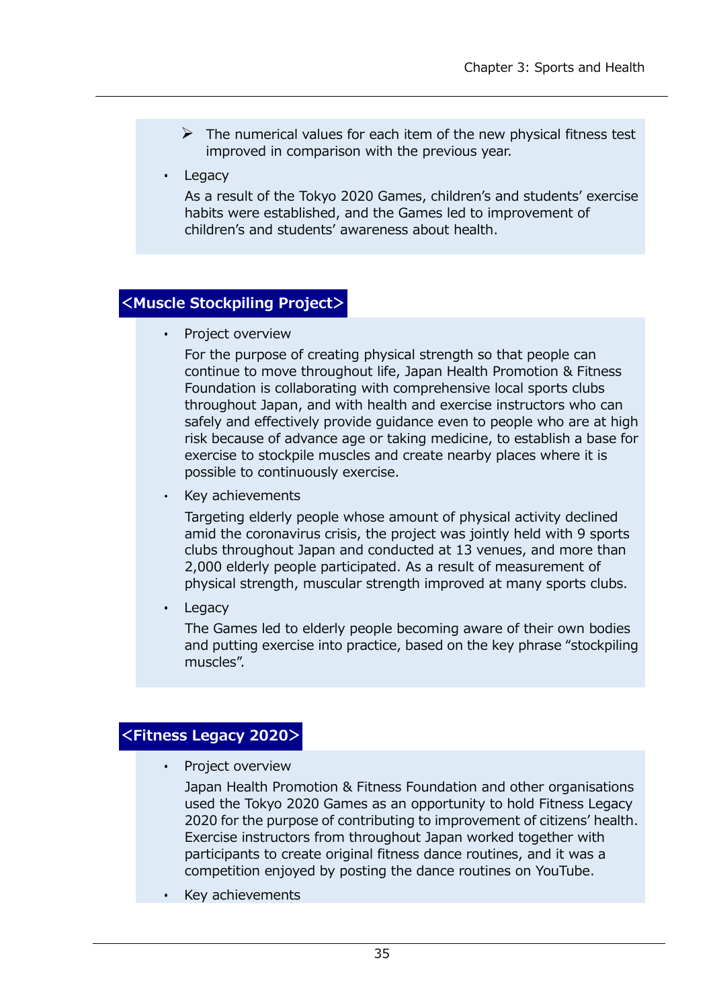- $\triangleright$  The numerical values for each item of the new physical fitness test improved in comparison with the previous year.
- Legacy

As a result of the Tokyo 2020 Games, children's and students' exercise habits were established, and the Games led to improvement of children's and students' awareness about health.

# **<Muscle Stockpiling Project>**

• Project overview

For the purpose of creating physical strength so that people can continue to move throughout life, Japan Health Promotion & Fitness Foundation is collaborating with comprehensive local sports clubs throughout Japan, and with health and exercise instructors who can safely and effectively provide guidance even to people who are at high risk because of advance age or taking medicine, to establish a base for exercise to stockpile muscles and create nearby places where it is possible to continuously exercise.

Key achievements

Targeting elderly people whose amount of physical activity declined amid the coronavirus crisis, the project was jointly held with 9 sports clubs throughout Japan and conducted at 13 venues, and more than 2,000 elderly people participated. As a result of measurement of physical strength, muscular strength improved at many sports clubs.

Legacy

The Games led to elderly people becoming aware of their own bodies and putting exercise into practice, based on the key phrase "stockpiling muscles".

# **<Fitness Legacy 2020>**

• Project overview

Japan Health Promotion & Fitness Foundation and other organisations used the Tokyo 2020 Games as an opportunity to hold Fitness Legacy 2020 for the purpose of contributing to improvement of citizens' health. Exercise instructors from throughout Japan worked together with participants to create original fitness dance routines, and it was a competition enjoyed by posting the dance routines on YouTube.

Key achievements